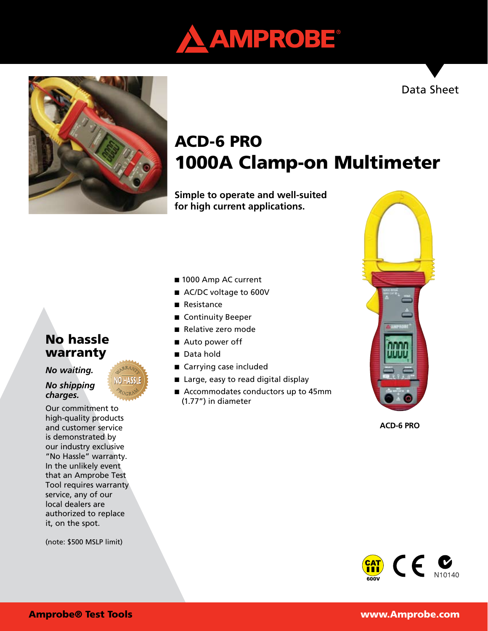



# ACD-6 PRO 1000A Clamp-on Multimeter

**Simple to operate and well-suited for high current applications.** 

## No hassle warranty

## *No waiting.*

## *No shipping charges.*

Our commitment to high-quality products and customer service is demonstrated by our industry exclusive "No Hassle" warranty. In the unlikely event that an Amprobe Test Tool requires warranty service, any of our local dealers are authorized to replace it, on the spot.

(note: \$500 MSLP limit)

### ■ 1000 Amp AC current

- AC/DC voltage to 600V
- Resistance
- Continuity Beeper
- Relative zero mode
- Auto power off
- Data hold
- Carrying case included
- Large, easy to read digital display
- Accommodates conductors up to 45mm (1.77") in diameter



**ACD-6 PRO**



## Amprobe® Test Tools www.Amprobe.com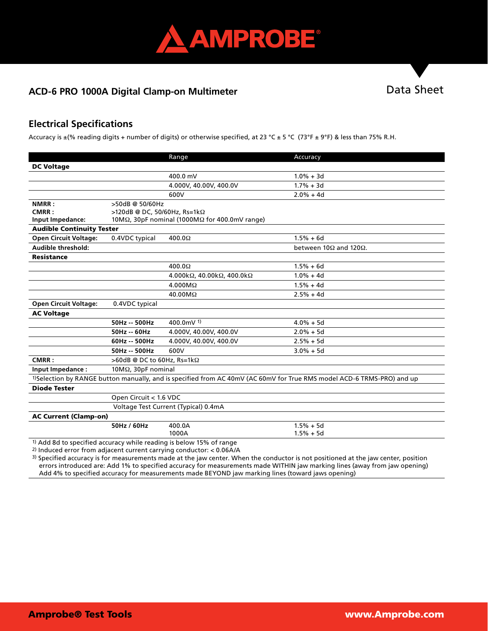

## ACD-6 PRO 1000A Digital Clamp-on Multimeter **National State Sheet** Data Sheet

## **Electrical Specifications**

Accuracy is  $\pm$ (% reading digits + number of digits) or otherwise specified, at 23 °C  $\pm$  5 °C (73°F  $\pm$  9°F) & less than 75% R.H.

|                                                                                                                                    |                                                                | Range                                | Accuracy                               |  |
|------------------------------------------------------------------------------------------------------------------------------------|----------------------------------------------------------------|--------------------------------------|----------------------------------------|--|
| <b>DC Voltage</b>                                                                                                                  |                                                                |                                      |                                        |  |
|                                                                                                                                    |                                                                | 400.0 mV                             | $1.0\% + 3d$                           |  |
|                                                                                                                                    |                                                                | 4.000V, 40.00V, 400.0V               | $1.7% + 3d$                            |  |
|                                                                                                                                    |                                                                | 600V                                 | $2.0% + 4d$                            |  |
| NMRR:                                                                                                                              | >50dB @ 50/60Hz                                                |                                      |                                        |  |
| CMRR:                                                                                                                              | >120dB @ DC, 50/60Hz, Rs=1k $\Omega$                           |                                      |                                        |  |
| Input Impedance:                                                                                                                   | 10M $\Omega$ , 30pF nominal (1000M $\Omega$ for 400.0mV range) |                                      |                                        |  |
| <b>Audible Continuity Tester</b>                                                                                                   |                                                                |                                      |                                        |  |
| <b>Open Circuit Voltage:</b>                                                                                                       | 0.4VDC typical                                                 | 400.0 $\Omega$                       | $1.5% + 6d$                            |  |
| Audible threshold:                                                                                                                 |                                                                |                                      | between 10 $\Omega$ and 120 $\Omega$ . |  |
| <b>Resistance</b>                                                                                                                  |                                                                |                                      |                                        |  |
|                                                                                                                                    |                                                                | 400.0 $\Omega$                       | $1.5% + 6d$                            |  |
|                                                                                                                                    |                                                                | 4.000kΩ, 40.00kΩ, 400.0kΩ            | $1.0% + 4d$                            |  |
|                                                                                                                                    |                                                                | $4.000M\Omega$                       | $1.5% + 4d$                            |  |
|                                                                                                                                    |                                                                | 40.00MΩ                              | $2.5% + 4d$                            |  |
| <b>Open Circuit Voltage:</b>                                                                                                       | 0.4VDC typical                                                 |                                      |                                        |  |
| <b>AC Voltage</b>                                                                                                                  |                                                                |                                      |                                        |  |
|                                                                                                                                    | 50Hz -- 500Hz                                                  | 400.0mV $1$ )                        | $4.0% + 5d$                            |  |
|                                                                                                                                    | 50Hz -- 60Hz                                                   | 4.000V, 40.00V, 400.0V               | $2.0% + 5d$                            |  |
|                                                                                                                                    | 60Hz -- 500Hz                                                  | 4.000V, 40.00V, 400.0V               | $2.5% + 5d$                            |  |
|                                                                                                                                    | 50Hz -- 500Hz                                                  | 600V                                 | $3.0% + 5d$                            |  |
| CMRR:                                                                                                                              | >60dB @ DC to 60Hz, Rs=1kΩ                                     |                                      |                                        |  |
| Input Impedance:                                                                                                                   | $10M\Omega$ , $30pF$ nominal                                   |                                      |                                        |  |
| <sup>1)</sup> Selection by RANGE button manually, and is specified from AC 40mV (AC 60mV for True RMS model ACD-6 TRMS-PRO) and up |                                                                |                                      |                                        |  |
| <b>Diode Tester</b>                                                                                                                |                                                                |                                      |                                        |  |
|                                                                                                                                    | Open Circuit < 1.6 VDC                                         |                                      |                                        |  |
|                                                                                                                                    |                                                                | Voltage Test Current (Typical) 0.4mA |                                        |  |
| <b>AC Current (Clamp-on)</b>                                                                                                       |                                                                |                                      |                                        |  |
|                                                                                                                                    | 50Hz / 60Hz                                                    | 400.0A                               | $1.5% + 5d$                            |  |
|                                                                                                                                    |                                                                | 1000A                                | $1.5% + 5d$                            |  |
| <sup>1)</sup> Add 8d to specified accuracy while reading is below 15% of range                                                     |                                                                |                                      |                                        |  |

2) Induced error from adjacent current carrying conductor: < 0.06A/A

 $3$ ) Specified accuracy is for measurements made at the jaw center. When the conductor is not positioned at the jaw center, position errors introduced are: Add 1% to specified accuracy for measurements made WITHIN jaw marking lines (away from jaw opening) Add 4% to specified accuracy for measurements made BEYOND jaw marking lines (toward jaws opening)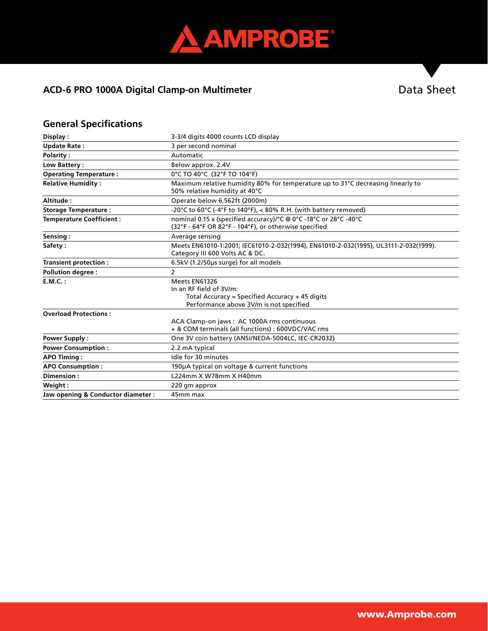

## ACD-6 PRO 1000A Digital Clamp-on Multimeter **National Sheet** Data Sheet

## **General Specifications**

| Display:                           | 3-3/4 digits 4000 counts LCD display                                                                                                   |  |
|------------------------------------|----------------------------------------------------------------------------------------------------------------------------------------|--|
| <b>Update Rate:</b>                | 3 per second nominal                                                                                                                   |  |
| <b>Polarity:</b>                   | Automatic                                                                                                                              |  |
| Low Battery:                       | Below approx. 2.4V                                                                                                                     |  |
| <b>Operating Temperature:</b>      | 0°C TO 40°C (32°F TO 104°F)                                                                                                            |  |
| <b>Relative Humidity:</b>          | Maximum relative humidity 80% for temperature up to 31°C decreasing linearly to<br>50% relative humidity at 40°C                       |  |
| Altitude:                          | Operate below 6,562ft (2000m)                                                                                                          |  |
| <b>Storage Temperature:</b>        | -20°C to 60°C (-4°F to 140°F), < 80% R.H. (with battery removed)                                                                       |  |
| <b>Temperature Coefficient:</b>    | nominal 0.15 x (specified accuracy)/°C @ 0°C -18°C or 28°C -40°C<br>(32°F - 64°F OR 82°F - 104°F), or otherwise specified              |  |
| Sensing:                           | Average sensing                                                                                                                        |  |
| Safety:                            | Meets EN61010-1:2001; IEC61010-2-032(1994), EN61010-2-032(1995), UL3111-2-032(1999).<br>Category III 600 Volts AC & DC.                |  |
| Transient protection:              | 6.5kV (1.2/50µs surge) for all models                                                                                                  |  |
| <b>Pollution degree:</b>           | $\overline{2}$                                                                                                                         |  |
| $E.M.C.$ :                         | Meets EN61326<br>In an RF field of 3V/m:<br>Total Accuracy = Specified Accuracy + 45 digits<br>Performance above 3V/m is not specified |  |
| <b>Overload Protections:</b>       |                                                                                                                                        |  |
|                                    | ACA Clamp-on jaws: AC 1000A rms continuous<br>+ & COM terminals (all functions) : 600VDC/VAC rms                                       |  |
| <b>Power Supply:</b>               | One 3V coin battery (ANSI/NEDA-5004LC, IEC-CR2032)                                                                                     |  |
| <b>Power Consumption:</b>          | 2.2 mA typical                                                                                                                         |  |
| <b>APO Timing:</b>                 | Idle for 30 minutes                                                                                                                    |  |
| <b>APO Consumption:</b>            | 190µA typical on voltage & current functions                                                                                           |  |
| Dimension:                         | L224mm X W78mm X H40mm                                                                                                                 |  |
| Weight:                            | 220 gm approx                                                                                                                          |  |
| Jaw opening & Conductor diameter : | 45mm max                                                                                                                               |  |